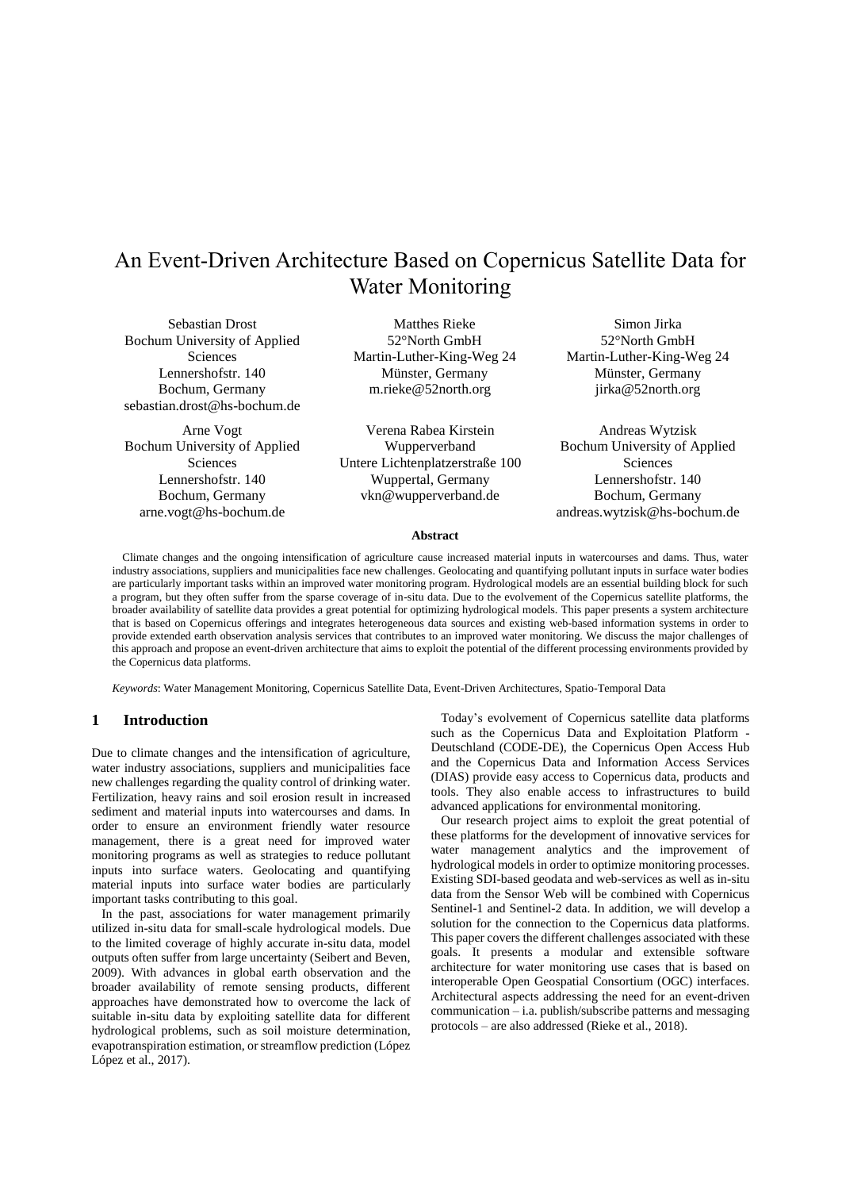# An Event-Driven Architecture Based on Copernicus Satellite Data for Water Monitoring

Sebastian Drost Bochum University of Applied Sciences Lennershofstr. 140 Bochum, Germany sebastian.drost@hs-bochum.de

Arne Vogt Bochum University of Applied Sciences Lennershofstr. 140 Bochum, Germany arne.vogt@hs-bochum.de

Matthes Rieke 52°North GmbH Martin-Luther-King-Weg 24 Münster, Germany m.rieke@52north.org

Verena Rabea Kirstein Wupperverband Untere Lichtenplatzerstraße 100 Wuppertal, Germany vkn@wupperverband.de

Simon Jirka 52°North GmbH Martin-Luther-King-Weg 24 Münster, Germany jirka@52north.org

Andreas Wytzisk Bochum University of Applied Sciences Lennershofstr. 140 Bochum, Germany andreas.wytzisk@hs-bochum.de

### **Abstract**

Climate changes and the ongoing intensification of agriculture cause increased material inputs in watercourses and dams. Thus, water industry associations, suppliers and municipalities face new challenges. Geolocating and quantifying pollutant inputs in surface water bodies are particularly important tasks within an improved water monitoring program. Hydrological models are an essential building block for such a program, but they often suffer from the sparse coverage of in-situ data. Due to the evolvement of the Copernicus satellite platforms, the broader availability of satellite data provides a great potential for optimizing hydrological models. This paper presents a system architecture that is based on Copernicus offerings and integrates heterogeneous data sources and existing web-based information systems in order to provide extended earth observation analysis services that contributes to an improved water monitoring. We discuss the major challenges of this approach and propose an event-driven architecture that aims to exploit the potential of the different processing environments provided by the Copernicus data platforms.

*Keywords*: Water Management Monitoring, Copernicus Satellite Data, Event-Driven Architectures, Spatio-Temporal Data

# **1 Introduction**

Due to climate changes and the intensification of agriculture, water industry associations, suppliers and municipalities face new challenges regarding the quality control of drinking water. Fertilization, heavy rains and soil erosion result in increased sediment and material inputs into watercourses and dams. In order to ensure an environment friendly water resource management, there is a great need for improved water monitoring programs as well as strategies to reduce pollutant inputs into surface waters. Geolocating and quantifying material inputs into surface water bodies are particularly important tasks contributing to this goal.

In the past, associations for water management primarily utilized in-situ data for small-scale hydrological models. Due to the limited coverage of highly accurate in-situ data, model outputs often suffer from large uncertainty (Seibert and Beven, 2009). With advances in global earth observation and the broader availability of remote sensing products, different approaches have demonstrated how to overcome the lack of suitable in-situ data by exploiting satellite data for different hydrological problems, such as soil moisture determination, evapotranspiration estimation, or streamflow prediction (López López et al., 2017).

Today's evolvement of Copernicus satellite data platforms such as the Copernicus Data and Exploitation Platform - Deutschland (CODE-DE), the Copernicus Open Access Hub and the Copernicus Data and Information Access Services (DIAS) provide easy access to Copernicus data, products and tools. They also enable access to infrastructures to build advanced applications for environmental monitoring.

Our research project aims to exploit the great potential of these platforms for the development of innovative services for water management analytics and the improvement of hydrological models in order to optimize monitoring processes. Existing SDI-based geodata and web-services as well as in-situ data from the Sensor Web will be combined with Copernicus Sentinel-1 and Sentinel-2 data. In addition, we will develop a solution for the connection to the Copernicus data platforms. This paper covers the different challenges associated with these goals. It presents a modular and extensible software architecture for water monitoring use cases that is based on interoperable Open Geospatial Consortium (OGC) interfaces. Architectural aspects addressing the need for an event-driven communication – i.a. publish/subscribe patterns and messaging protocols – are also addressed (Rieke et al., 2018).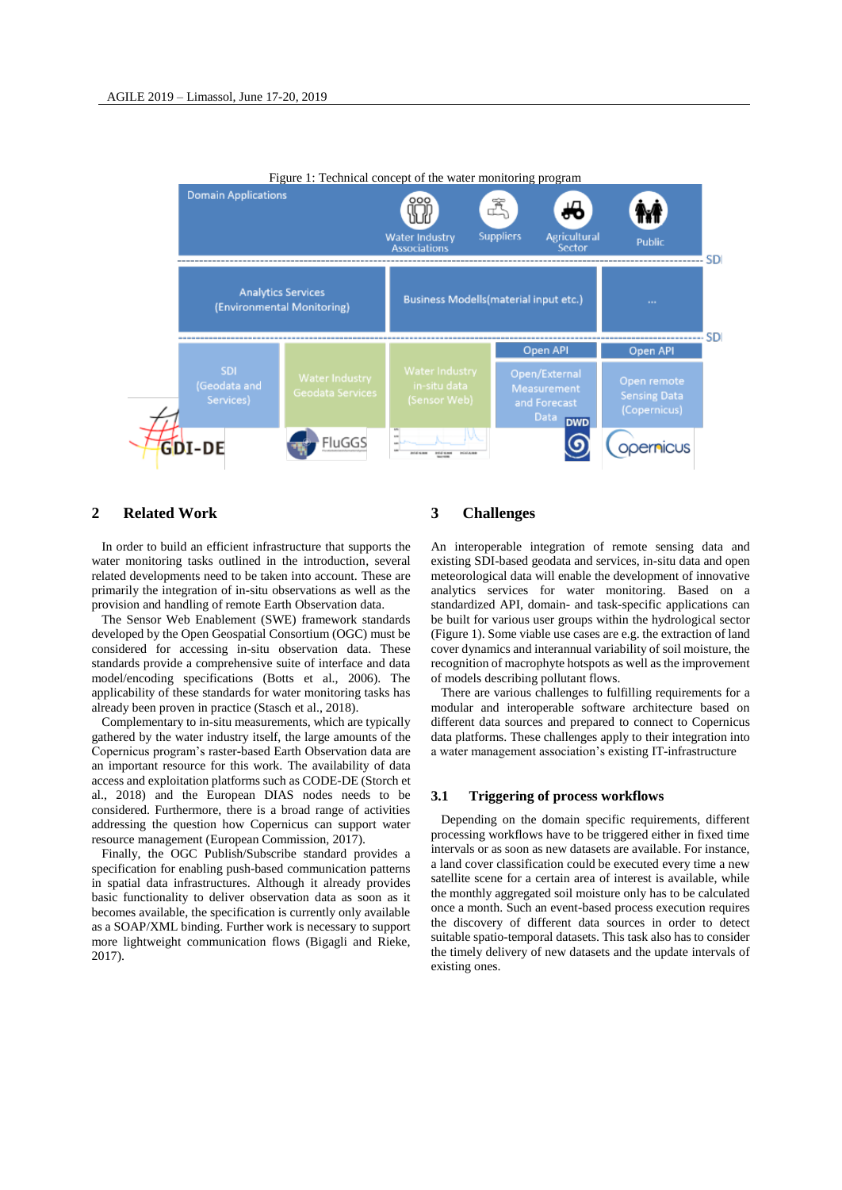

# **2 Related Work**

In order to build an efficient infrastructure that supports the water monitoring tasks outlined in the introduction, several related developments need to be taken into account. These are primarily the integration of in-situ observations as well as the provision and handling of remote Earth Observation data.

The Sensor Web Enablement (SWE) framework standards developed by the Open Geospatial Consortium (OGC) must be considered for accessing in-situ observation data. These standards provide a comprehensive suite of interface and data model/encoding specifications (Botts et al., 2006). The applicability of these standards for water monitoring tasks has already been proven in practice (Stasch et al., 2018).

Complementary to in-situ measurements, which are typically gathered by the water industry itself, the large amounts of the Copernicus program's raster-based Earth Observation data are an important resource for this work. The availability of data access and exploitation platforms such as CODE-DE (Storch et al., 2018) and the European DIAS nodes needs to be considered. Furthermore, there is a broad range of activities addressing the question how Copernicus can support water resource management (European Commission, 2017).

Finally, the OGC Publish/Subscribe standard provides a specification for enabling push-based communication patterns in spatial data infrastructures. Although it already provides basic functionality to deliver observation data as soon as it becomes available, the specification is currently only available as a SOAP/XML binding. Further work is necessary to support more lightweight communication flows (Bigagli and Rieke, 2017).

# **3 Challenges**

An interoperable integration of remote sensing data and existing SDI-based geodata and services, in-situ data and open meteorological data will enable the development of innovative analytics services for water monitoring. Based on a standardized API, domain- and task-specific applications can be built for various user groups within the hydrological sector (Figure 1). Some viable use cases are e.g. the extraction of land cover dynamics and interannual variability of soil moisture, the recognition of macrophyte hotspots as well as the improvement of models describing pollutant flows.

There are various challenges to fulfilling requirements for a modular and interoperable software architecture based on different data sources and prepared to connect to Copernicus data platforms. These challenges apply to their integration into a water management association's existing IT-infrastructure

# **3.1 Triggering of process workflows**

Depending on the domain specific requirements, different processing workflows have to be triggered either in fixed time intervals or as soon as new datasets are available. For instance, a land cover classification could be executed every time a new satellite scene for a certain area of interest is available, while the monthly aggregated soil moisture only has to be calculated once a month. Such an event-based process execution requires the discovery of different data sources in order to detect suitable spatio-temporal datasets. This task also has to consider the timely delivery of new datasets and the update intervals of existing ones.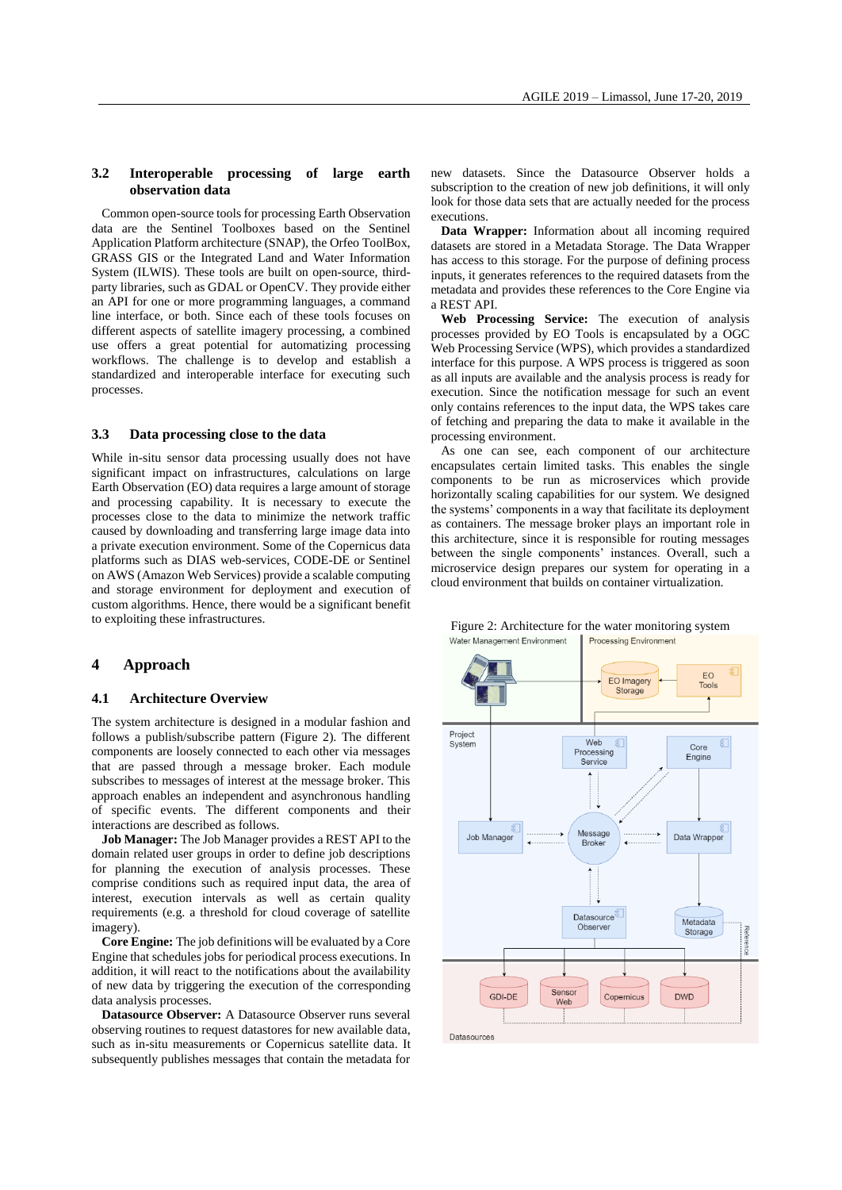# **3.2 Interoperable processing of large earth observation data**

Common open-source tools for processing Earth Observation data are the Sentinel Toolboxes based on the Sentinel Application Platform architecture (SNAP), the Orfeo ToolBox, GRASS GIS or the Integrated Land and Water Information System (ILWIS). These tools are built on open-source, thirdparty libraries, such as GDAL or OpenCV. They provide either an API for one or more programming languages, a command line interface, or both. Since each of these tools focuses on different aspects of satellite imagery processing, a combined use offers a great potential for automatizing processing workflows. The challenge is to develop and establish a standardized and interoperable interface for executing such processes.

# **3.3 Data processing close to the data**

While in-situ sensor data processing usually does not have significant impact on infrastructures, calculations on large Earth Observation (EO) data requires a large amount of storage and processing capability. It is necessary to execute the processes close to the data to minimize the network traffic caused by downloading and transferring large image data into a private execution environment. Some of the Copernicus data platforms such as DIAS web-services, CODE-DE or Sentinel on AWS (Amazon Web Services) provide a scalable computing and storage environment for deployment and execution of custom algorithms. Hence, there would be a significant benefit to exploiting these infrastructures.

# **4 Approach**

### **4.1 Architecture Overview**

The system architecture is designed in a modular fashion and follows a publish/subscribe pattern (Figure 2). The different components are loosely connected to each other via messages that are passed through a message broker. Each module subscribes to messages of interest at the message broker. This approach enables an independent and asynchronous handling of specific events. The different components and their interactions are described as follows.

**Job Manager:** The Job Manager provides a REST API to the domain related user groups in order to define job descriptions for planning the execution of analysis processes. These comprise conditions such as required input data, the area of interest, execution intervals as well as certain quality requirements (e.g. a threshold for cloud coverage of satellite imagery).

**Core Engine:** The job definitions will be evaluated by a Core Engine that schedules jobs for periodical process executions. In addition, it will react to the notifications about the availability of new data by triggering the execution of the corresponding data analysis processes.

**Datasource Observer:** A Datasource Observer runs several observing routines to request datastores for new available data, such as in-situ measurements or Copernicus satellite data. It subsequently publishes messages that contain the metadata for

new datasets. Since the Datasource Observer holds a subscription to the creation of new job definitions, it will only look for those data sets that are actually needed for the process executions.

**Data Wrapper:** Information about all incoming required datasets are stored in a Metadata Storage. The Data Wrapper has access to this storage. For the purpose of defining process inputs, it generates references to the required datasets from the metadata and provides these references to the Core Engine via a REST API.

**Web Processing Service:** The execution of analysis processes provided by EO Tools is encapsulated by a OGC Web Processing Service (WPS), which provides a standardized interface for this purpose. A WPS process is triggered as soon as all inputs are available and the analysis process is ready for execution. Since the notification message for such an event only contains references to the input data, the WPS takes care of fetching and preparing the data to make it available in the processing environment.

As one can see, each component of our architecture encapsulates certain limited tasks. This enables the single components to be run as microservices which provide horizontally scaling capabilities for our system. We designed the systems' components in a way that facilitate its deployment as containers. The message broker plays an important role in this architecture, since it is responsible for routing messages between the single components' instances. Overall, such a microservice design prepares our system for operating in a cloud environment that builds on container virtualization.



#### Figure 2: Architecture for the water monitoring systemWater Management Environment Processing Environment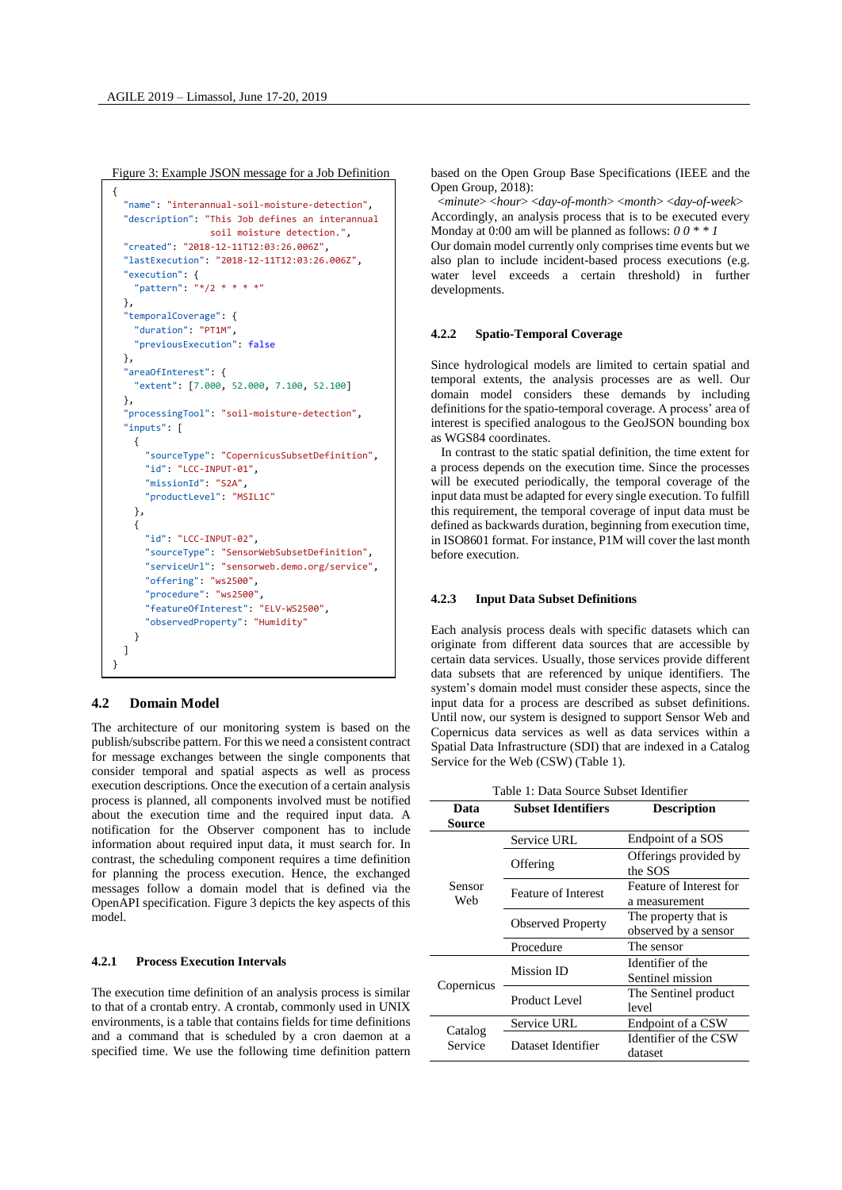Figure 3: Example JSON message for a Job Definition

```
{
   "name": "interannual-soil-moisture-detection",
   "description": "This Job defines an interannual
                    soil moisture detection.",
   "created": "2018-12-11T12:03:26.006Z",
   "lastExecution": "2018-12-11T12:03:26.006Z",
   "execution": {
     "pattern": "*/2 * * * *"
   },
   "temporalCoverage": {
     "duration": "PT1M",
     "previousExecution": false
   },
   "areaOfInterest": {
     "extent": [7.000, 52.000, 7.100, 52.100]
   },
   "processingTool": "soil-moisture-detection",
   "inputs": [
     {
       "sourceType": "CopernicusSubsetDefinition",
       "id": "LCC-INPUT-01",
       "missionId": "S2A",
       "productLevel": "MSIL1C"
     },
     {
       "id": "LCC-INPUT-02",
       "sourceType": "SensorWebSubsetDefinition",
       "serviceUrl": "sensorweb.demo.org/service",
       "offering": "ws2500",
       "procedure": "ws2500",
       "featureOfInterest": "ELV-WS2500",
       "observedProperty": "Humidity"
     }
   ]
}
```
# **4.2 Domain Model**

The architecture of our monitoring system is based on the publish/subscribe pattern. For this we need a consistent contract for message exchanges between the single components that consider temporal and spatial aspects as well as process execution descriptions. Once the execution of a certain analysis process is planned, all components involved must be notified about the execution time and the required input data. A notification for the Observer component has to include information about required input data, it must search for. In contrast, the scheduling component requires a time definition for planning the process execution. Hence, the exchanged messages follow a domain model that is defined via the OpenAPI specification. Figure 3 depicts the key aspects of this model.

# **4.2.1 Process Execution Intervals**

The execution time definition of an analysis process is similar to that of a crontab entry. A crontab, commonly used in UNIX environments, is a table that contains fields for time definitions and a command that is scheduled by a cron daemon at a specified time. We use the following time definition pattern based on the Open Group Base Specifications (IEEE and the Open Group, 2018):

<*minute*> <*hour*> <*day-of-month*> <*month*> <*day-of-week*> Accordingly, an analysis process that is to be executed every Monday at 0:00 am will be planned as follows: *0 0 \* \* 1* Our domain model currently only comprises time events but we also plan to include incident-based process executions (e.g. water level exceeds a certain threshold) in further developments.

# **4.2.2 Spatio-Temporal Coverage**

Since hydrological models are limited to certain spatial and temporal extents, the analysis processes are as well. Our domain model considers these demands by including definitions for the spatio-temporal coverage. A process' area of interest is specified analogous to the GeoJSON bounding box as WGS84 coordinates.

In contrast to the static spatial definition, the time extent for a process depends on the execution time. Since the processes will be executed periodically, the temporal coverage of the input data must be adapted for every single execution. To fulfill this requirement, the temporal coverage of input data must be defined as backwards duration, beginning from execution time, in ISO8601 format. For instance, P1M will cover the last month before execution.

### **4.2.3 Input Data Subset Definitions**

Each analysis process deals with specific datasets which can originate from different data sources that are accessible by certain data services. Usually, those services provide different data subsets that are referenced by unique identifiers. The system's domain model must consider these aspects, since the input data for a process are described as subset definitions. Until now, our system is designed to support Sensor Web and Copernicus data services as well as data services within a Spatial Data Infrastructure (SDI) that are indexed in a Catalog Service for the Web (CSW) (Table 1).

| Table 1: Data Source Subset Identifier |                            |                                  |
|----------------------------------------|----------------------------|----------------------------------|
| Data                                   | <b>Subset Identifiers</b>  | <b>Description</b>               |
| Source                                 |                            |                                  |
| Sensor<br>Web                          | Service URL                | Endpoint of a SOS                |
|                                        | Offering                   | Offerings provided by<br>the SOS |
|                                        | <b>Feature of Interest</b> | Feature of Interest for          |
|                                        |                            | a measurement                    |
|                                        | <b>Observed Property</b>   | The property that is             |
|                                        |                            | observed by a sensor             |
|                                        | Procedure                  | The sensor                       |
| Copernicus                             | Mission ID                 | Identifier of the                |
|                                        |                            | Sentinel mission                 |
|                                        | Product Level              | The Sentinel product             |
|                                        |                            | level                            |
| Catalog<br>Service                     | Service URL                | Endpoint of a CSW                |
|                                        | Dataset Identifier         | Identifier of the CSW            |
|                                        |                            | dataset                          |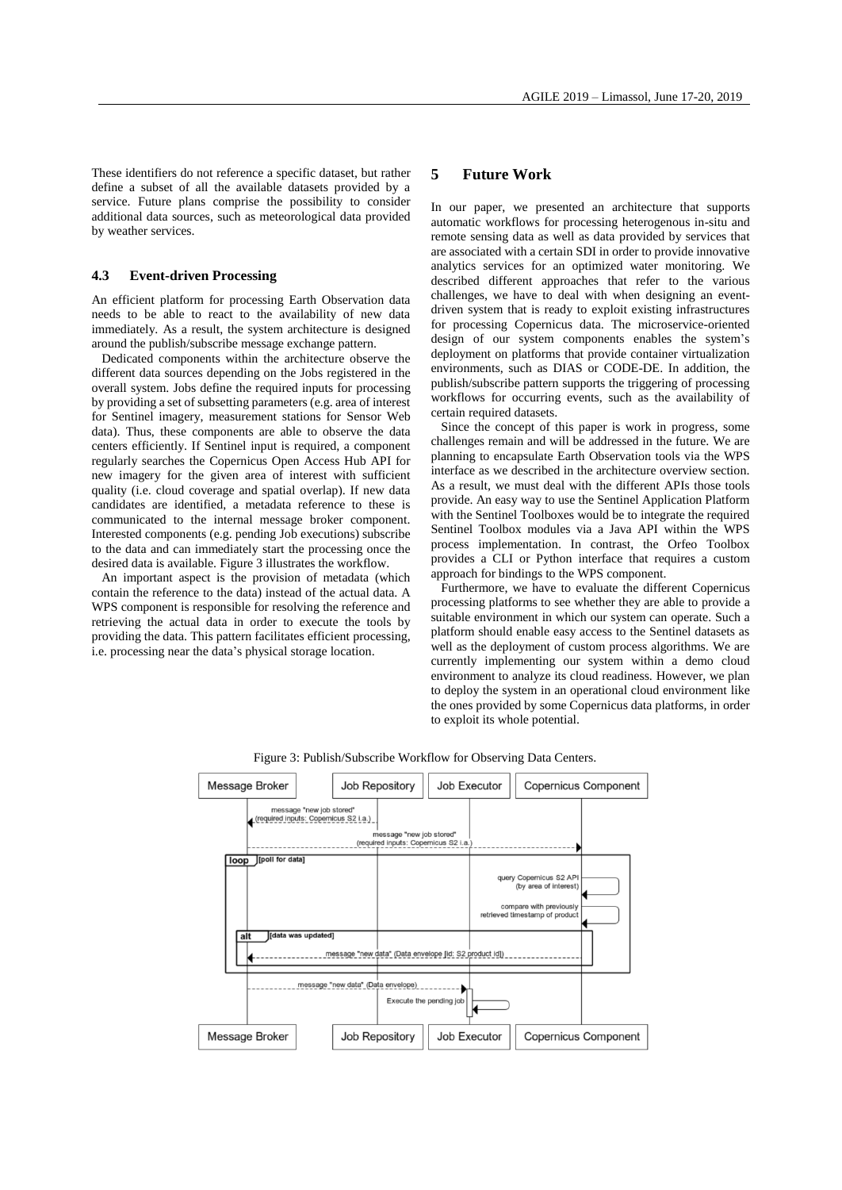These identifiers do not reference a specific dataset, but rather define a subset of all the available datasets provided by a service. Future plans comprise the possibility to consider additional data sources, such as meteorological data provided by weather services.

# **4.3 Event-driven Processing**

An efficient platform for processing Earth Observation data needs to be able to react to the availability of new data immediately. As a result, the system architecture is designed around the publish/subscribe message exchange pattern.

Dedicated components within the architecture observe the different data sources depending on the Jobs registered in the overall system. Jobs define the required inputs for processing by providing a set of subsetting parameters (e.g. area of interest for Sentinel imagery, measurement stations for Sensor Web data). Thus, these components are able to observe the data centers efficiently. If Sentinel input is required, a component regularly searches the Copernicus Open Access Hub API for new imagery for the given area of interest with sufficient quality (i.e. cloud coverage and spatial overlap). If new data candidates are identified, a metadata reference to these is communicated to the internal message broker component. Interested components (e.g. pending Job executions) subscribe to the data and can immediately start the processing once the desired data is available. Figure 3 illustrates the workflow.

An important aspect is the provision of metadata (which contain the reference to the data) instead of the actual data. A WPS component is responsible for resolving the reference and retrieving the actual data in order to execute the tools by providing the data. This pattern facilitates efficient processing, i.e. processing near the data's physical storage location.

# **5 Future Work**

In our paper, we presented an architecture that supports automatic workflows for processing heterogenous in-situ and remote sensing data as well as data provided by services that are associated with a certain SDI in order to provide innovative analytics services for an optimized water monitoring. We described different approaches that refer to the various challenges, we have to deal with when designing an eventdriven system that is ready to exploit existing infrastructures for processing Copernicus data. The microservice-oriented design of our system components enables the system's deployment on platforms that provide container virtualization environments, such as DIAS or CODE-DE. In addition, the publish/subscribe pattern supports the triggering of processing workflows for occurring events, such as the availability of certain required datasets.

Since the concept of this paper is work in progress, some challenges remain and will be addressed in the future. We are planning to encapsulate Earth Observation tools via the WPS interface as we described in the architecture overview section. As a result, we must deal with the different APIs those tools provide. An easy way to use the Sentinel Application Platform with the Sentinel Toolboxes would be to integrate the required Sentinel Toolbox modules via a Java API within the WPS process implementation. In contrast, the Orfeo Toolbox provides a CLI or Python interface that requires a custom approach for bindings to the WPS component.

Furthermore, we have to evaluate the different Copernicus processing platforms to see whether they are able to provide a suitable environment in which our system can operate. Such a platform should enable easy access to the Sentinel datasets as well as the deployment of custom process algorithms. We are currently implementing our system within a demo cloud environment to analyze its cloud readiness. However, we plan to deploy the system in an operational cloud environment like the ones provided by some Copernicus data platforms, in order to exploit its whole potential.



Figure 3: Publish/Subscribe Workflow for Observing Data Centers.